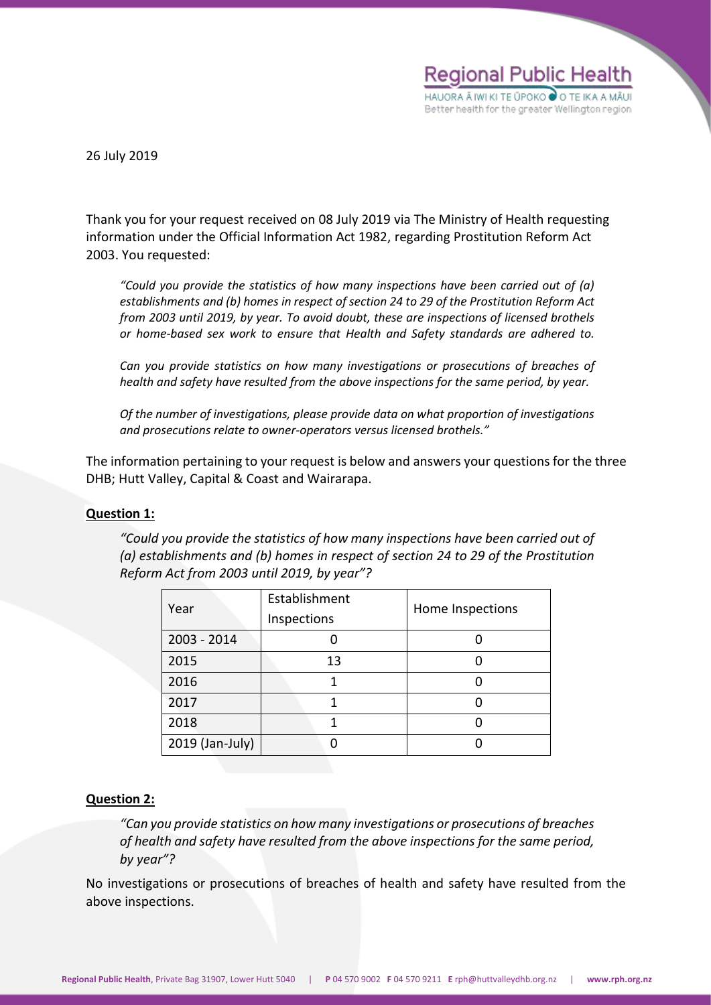

26 July 2019

Thank you for your request received on 08 July 2019 via The Ministry of Health requesting information under the Official Information Act 1982, regarding Prostitution Reform Act 2003. You requested:

*"Could you provide the statistics of how many inspections have been carried out of (a) establishments and (b) homes in respect of section 24 to 29 of the Prostitution Reform Act from 2003 until 2019, by year. To avoid doubt, these are inspections of licensed brothels or home-based sex work to ensure that Health and Safety standards are adhered to.* 

*Can you provide statistics on how many investigations or prosecutions of breaches of health and safety have resulted from the above inspections for the same period, by year.* 

*Of the number of investigations, please provide data on what proportion of investigations and prosecutions relate to owner-operators versus licensed brothels."*

The information pertaining to your request is below and answers your questions for the three DHB; Hutt Valley, Capital & Coast and Wairarapa.

## **Question 1:**

*"Could you provide the statistics of how many inspections have been carried out of (a) establishments and (b) homes in respect of section 24 to 29 of the Prostitution Reform Act from 2003 until 2019, by year"?*

| Year            | Establishment<br>Inspections | Home Inspections |
|-----------------|------------------------------|------------------|
| 2003 - 2014     |                              |                  |
| 2015            | 13                           |                  |
| 2016            |                              |                  |
| 2017            |                              |                  |
| 2018            |                              |                  |
| 2019 (Jan-July) |                              |                  |

## **Question 2:**

*"Can you provide statistics on how many investigations or prosecutions of breaches of health and safety have resulted from the above inspections for the same period, by year"?*

No investigations or prosecutions of breaches of health and safety have resulted from the above inspections.